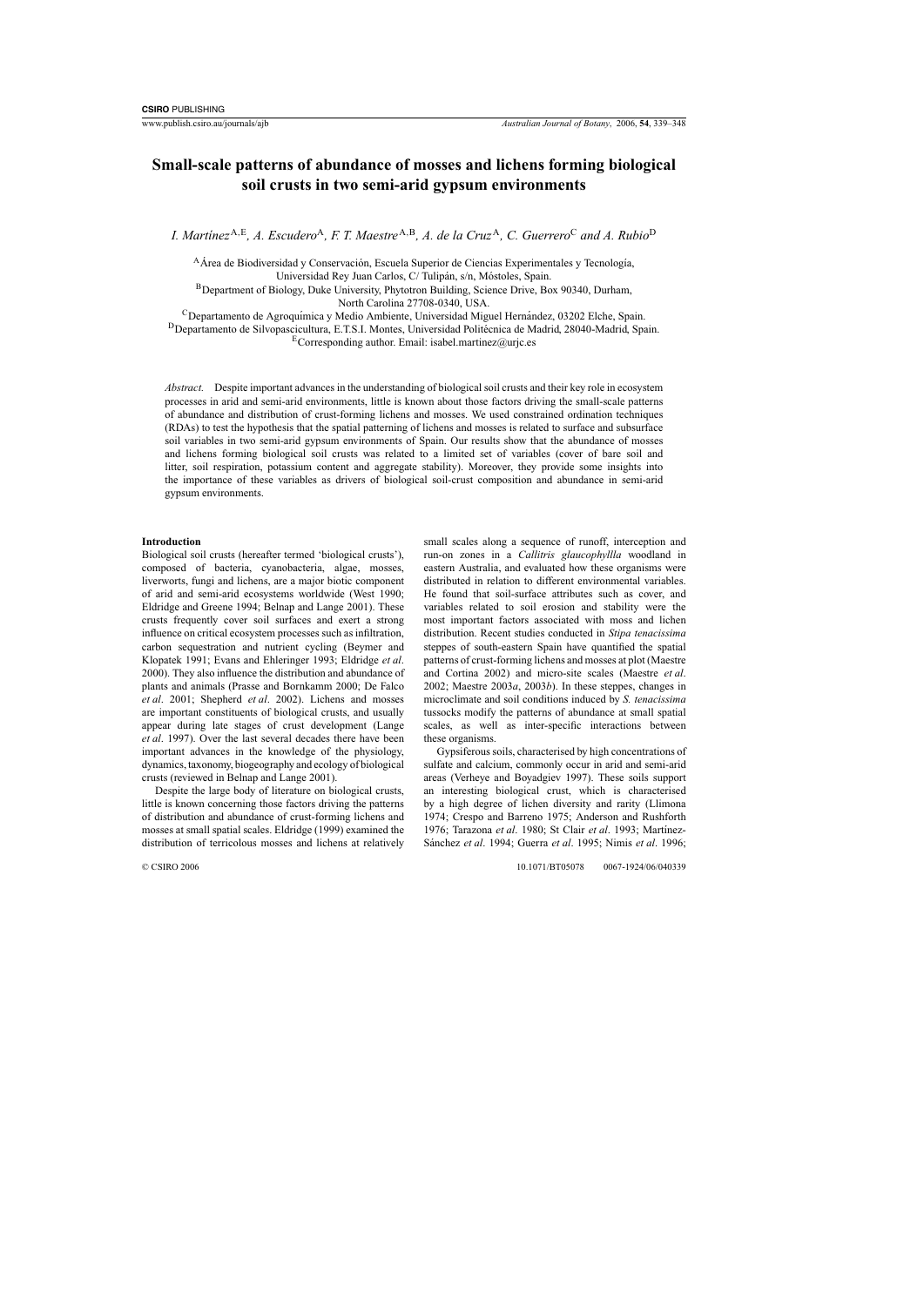# **Small-scale patterns of abundance of mosses and lichens forming biological soil crusts in two semi-arid gypsum environments**

*I. Mart´ınez*A,E*, A. Escudero*A*, F. T. Maestre*A,B*, A. de la Cruz*A*, C. Guerrero*<sup>C</sup> *and A. Rubio*<sup>D</sup>

A Área de Biodiversidad y Conservación, Escuela Superior de Ciencias Experimentales y Tecnología, Universidad Rey Juan Carlos, C/ Tulipán, s/n, Móstoles, Spain.

BDepartment of Biology, Duke University, Phytotron Building, Science Drive, Box 90340, Durham, North Carolina 27708-0340, USA.

<sup>C</sup>Departamento de Agroquímica y Medio Ambiente, Universidad Miguel Hernández, 03202 Elche, Spain.

<sup>D</sup>Departamento de Silvopascicultura, E.T.S.I. Montes, Universidad Politécnica de Madrid, 28040-Madrid, Spain. ECorresponding author. Email: isabel.martinez@urjc.es

*Abstract.* Despite important advances in the understanding of biological soil crusts and their key role in ecosystem processes in arid and semi-arid environments, little is known about those factors driving the small-scale patterns of abundance and distribution of crust-forming lichens and mosses. We used constrained ordination techniques (RDAs) to test the hypothesis that the spatial patterning of lichens and mosses is related to surface and subsurface soil variables in two semi-arid gypsum environments of Spain. Our results show that the abundance of mosses and lichens forming biological soil crusts was related to a limited set of variables (cover of bare soil and litter, soil respiration, potassium content and aggregate stability). Moreover, they provide some insights into the importance of these variables as drivers of biological soil-crust composition and abundance in semi-arid gypsum environments.

# **Introduction**

Biological soil crusts (hereafter termed 'biological crusts'), composed of bacteria, cyanobacteria, algae, mosses, liverworts, fungi and lichens, are a major biotic component of arid and semi-arid ecosystems worldwide ([West 1990;](#page-9-0) [Eldridge and Greene 1994; Belnap and Lange 2001\).](#page-7-0) These crusts frequently cover soil surfaces and exert a strong influence on critical ecosystem processes such as infiltration, carbon sequestration and nutrient cycling ([Beymer and](#page-7-0) Klopatek 1991; [Evans and Ehleringer 1993;](#page-8-0) [Eldridge](#page-7-0) *et al*. 2000). They also influence the distribution and abundance of plants and animals ([Prasse and Bornkamm 2000;](#page-8-0) De Falco *et al*. 2001; [Shepherd](#page-8-0) *et al*. 2002). Lichens and mosses are important constituents of biological crusts, and usually appear during late stages of crust development (Lange *et al*. 1997). Over the last several decades there have been important advances in the knowledge of the physiology, dynamics, taxonomy, biogeography and ecology of biological crusts (reviewed in [Belnap and Lange 2001\).](#page-7-0)

Despite the large body of literature on biological crusts, little is known concerning those factors driving the patterns of distribution and abundance of crust-forming lichens and mosses at small spatial scales. [Eldridge \(1999\) e](#page-7-0)xamined the distribution of terricolous mosses and lichens at relatively

small scales along a sequence of runoff, interception and run-on zones in a *Callitris glaucophyllla* woodland in eastern Australia, and evaluated how these organisms were distributed in relation to different environmental variables. He found that soil-surface attributes such as cover, and variables related to soil erosion and stability were the most important factors associated with moss and lichen distribution. Recent studies conducted in *Stipa tenacissima* steppes of south-eastern Spain have quantified the spatial patterns of crust-forming lichens and mosses at plot [\(Maestre](#page-8-0) and Cortina 2002) and micro-site scales [\(Maestre](#page-8-0) *et al*. 2002; [Maestre 2003](#page-8-0)*a*, [2003](#page-8-0)*b*). In these steppes, changes in microclimate and soil conditions induced by *S. tenacissima* tussocks modify the patterns of abundance at small spatial [scales,](#page-8-0) as well as inter-specific interactions between these organisms.

Gypsiferous soils, characterised by high concentrations of sulfate and calcium, commonly occur in arid and semi-arid areas [\(Verheye and Boyadgiev 1997\)](#page-9-0). These soils support an interesting biological crust, which is characterised by a high degree of lichen diversity and rarity ([Llimona](#page-8-0) 1974; [Crespo and Barreno 1975; Anderson and Rushforth](#page-7-0) 1976; [Tarazona](#page-8-0) et al. 1980; [St Clair](#page-8-0) et al. 1993; Martínez-Sánchez *et al.* 1994; Guerra *et al.* 1995; Nimis *et al.* 1996;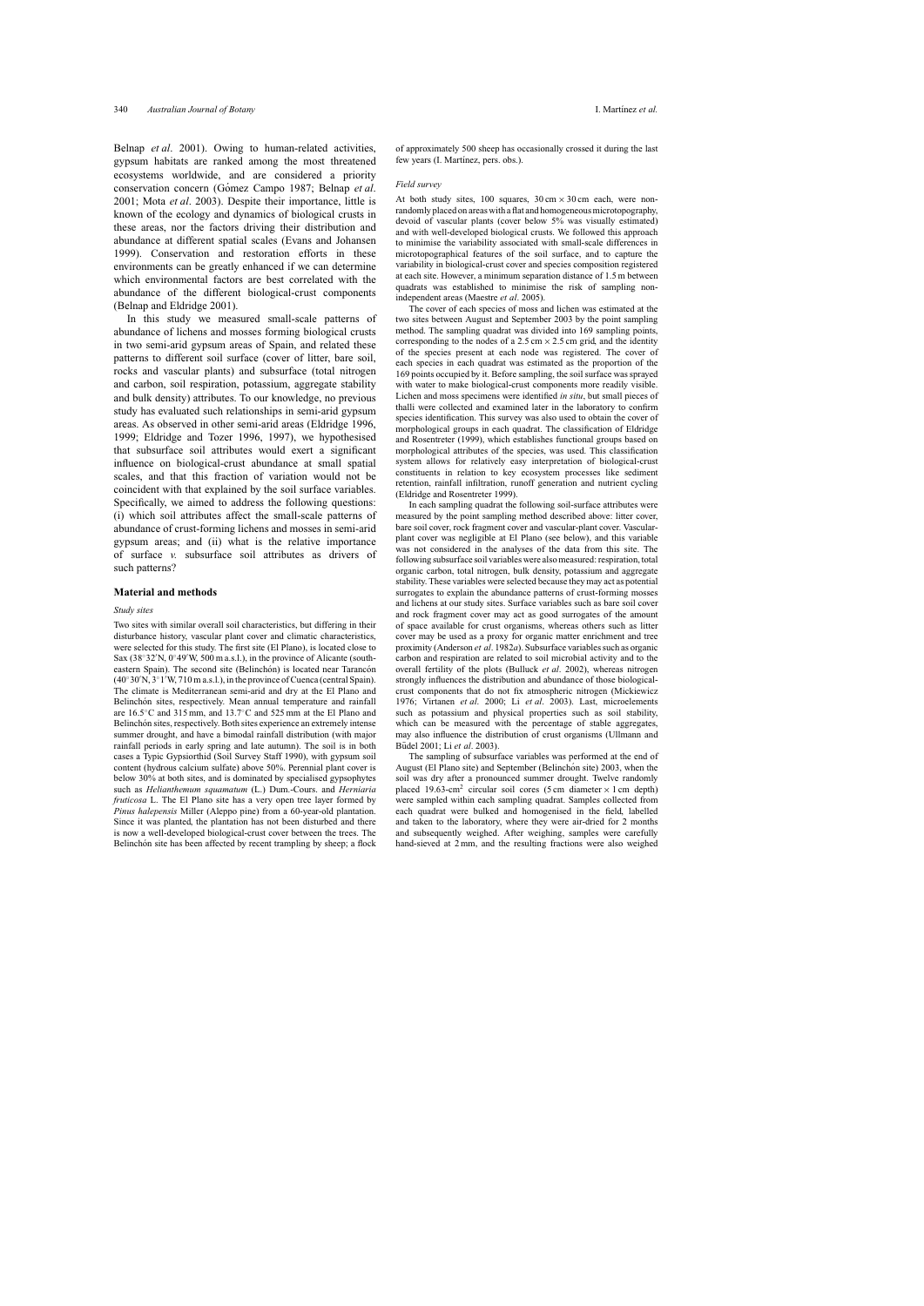[Belnap](#page-7-0) *et al*. 2001). Owing to human-related activities, gypsum habitats are ranked among the most threatened ecosystems worldwide, and are considered a priority conservation concern (Gómez Campo 1987; [Belnap](#page-7-0) et al.) 2001; Mota *et al*[. 2003\)](#page-8-0). Despite their importance, little is known of the ecology and dynamics of biological crusts in these areas, nor the factors driving their distribution and abundance at different spatial scales [\(Evans and Johansen](#page-8-0) 1999). Conservation and restoration efforts in these environments can be greatly enhanced if we can determine which environmental factors are best correlated with the abundance of the different biological-crust components [\(Belnap and Eldridge 2001\).](#page-7-0)

In this study we measured small-scale patterns of abundance of lichens and mosses forming biological crusts in two semi-arid gypsum areas of Spain, and related these patterns to different soil surface (cover of litter, bare soil, rocks and vascular plants) and subsurface (total nitrogen and carbon, soil respiration, potassium, aggregate stability and bulk density) attributes. To our knowledge, no previous study has evaluated such relationships in semi-arid gypsum areas. As observed in other semi-arid areas [\(Eldridge 1996,](#page-7-0) [1999; Eldridge and Tozer 1996](#page-7-0), [1997\),](#page-7-0) we hypothesised that subsurface soil attributes would exert a significant influence on biological-crust abundance at small spatial scales, and that this fraction of variation would not be coincident with that explained by the soil surface variables. Specifically, we aimed to address the following questions: (i) which soil attributes affect the small-scale patterns of abundance of crust-forming lichens and mosses in semi-arid gypsum areas; and (ii) what is the relative importance of surface *v.* subsurface soil attributes as drivers of such patterns?

## **Material and methods**

#### *Study sites*

Two sites with similar overall soil characteristics, but differing in their disturbance history, vascular plant cover and climatic characteristics, were selected for this study. The first site (El Plano), is located close to Sax  $(38°32'N, 0°49'W, 500 m a.s.1)$ , in the province of Alicante (southeastern Spain). The second site (Belinchón) is located near Tarancón  $(40°30'N, 3°1'W, 710 m a.s.1.)$ , in the province of Cuenca (central Spain). The climate is Mediterranean semi-arid and dry at the El Plano and Belinchón sites, respectively. Mean annual temperature and rainfall are 16.5◦C and 315 mm, and 13.7◦C and 525 mm at the El Plano and Belinchón sites, respectively. Both sites experience an extremely intense summer drought, and have a bimodal rainfall distribution (with major rainfall periods in early spring and late autumn). The soil is in both cases a Typic Gypsiorthid ([Soil Survey Staff 1990\),](#page-8-0) with gypsum soil content (hydrous calcium sulfate) above 50%. Perennial plant cover is below 30% at both sites, and is dominated by specialised gypsophytes such as *Helianthemum squamatum* (L.) Dum.-Cours. and *Herniaria fruticosa* L. The El Plano site has a very open tree layer formed by *Pinus halepensis* Miller (Aleppo pine) from a 60-year-old plantation. Since it was planted, the plantation has not been disturbed and there is now a well-developed biological-crust cover between the trees. The Belinchón site has been affected by recent trampling by sheep; a flock of approximately 500 sheep has occasionally crossed it during the last few years (I. Martínez, pers. obs.).

## *Field survey*

At both study sites, 100 squares,  $30 \text{ cm} \times 30 \text{ cm}$  each, were nonrandomly placed on areas with a flat and homogeneous microtopography, devoid of vascular plants (cover below 5% was visually estimated) and with well-developed biological crusts. We followed this approach to minimise the variability associated with small-scale differences in microtopographical features of the soil surface, and to capture the variability in biological-crust cover and species composition registered at each site. However, a minimum separation distance of 1.5 m between quadrats was established to minimise the risk of sampling nonindependent areas ([Maestre](#page-8-0) *et al*. 2005).

The cover of each species of moss and lichen was estimated at the two sites between August and September 2003 by the point sampling method. The sampling quadrat was divided into 169 sampling points, corresponding to the nodes of a 2.5 cm  $\times$  2.5 cm grid, and the identity of the species present at each node was registered. The cover of each species in each quadrat was estimated as the proportion of the 169 points occupied by it. Before sampling, the soil surface was sprayed with water to make biological-crust components more readily visible. Lichen and moss specimens were identified *in situ*, but small pieces of thalli were collected and examined later in the laboratory to confirm species identification. This survey was also used to obtain the cover of morphological groups in each quadrat. The classification of [Eldridge](#page-7-0) and Rosentreter (1999), which establishes functional groups based on morphological attributes of the species, was used. This classification system allows for relatively easy interpretation of biological-crust constituents in relation to key ecosystem processes like sediment retention, rainfall infiltration, runoff generation and nutrient cycling ([Eldridge and Rosentreter 1999\).](#page-7-0)

In each sampling quadrat the following soil-surface attributes were measured by the point sampling method described above: litter cover, bare soil cover, rock fragment cover and vascular-plant cover. Vascularplant cover was negligible at El Plano (see below), and this variable was not considered in the analyses of the data from this site. The following subsurface soil variables were also measured: respiration, total organic carbon, total nitrogen, bulk density, potassium and aggregate stability. These variables were selected because they may act as potential surrogates to explain the abundance patterns of crust-forming mosses and lichens at our study sites. Surface variables such as bare soil cover and rock fragment cover may act as good surrogates of the amount of space available for crust organisms, whereas others such as litter cover may be used as a proxy for organic matter enrichment and tree proximity [\(Anderson](#page-7-0) *et al*. 1982*a*). Subsurface variables such as organic carbon and respiration are related to soil microbial activity and to the overall fertility of the plots [\(Bulluck](#page-7-0) *et al*. 2002), whereas nitrogen strongly influences the distribution and abundance of those biologicalcrust components that do not fix atmospheric nitrogen [\(Mickiewicz](#page-8-0) 1976; [Virtanen](#page-9-0) *et al*. 2000; Li *et al*[. 2003](#page-8-0)). Last, microelements such as potassium and physical properties such as soil stability, which can be measured with the percentage of stable aggregates, may also influence the distribution of crust organisms ([Ullmann and](#page-8-0) Büdel 2001; Li et al[. 2003\).](#page-8-0)

The sampling of subsurface variables was performed at the end of August (El Plano site) and September (Belinchón site) 2003, when the soil was dry after a pronounced summer drought. Twelve randomly placed 19.63-cm<sup>2</sup> circular soil cores (5 cm diameter  $\times$  1 cm depth) were sampled within each sampling quadrat. Samples collected from each quadrat were bulked and homogenised in the field, labelled and taken to the laboratory, where they were air-dried for 2 months and subsequently weighed. After weighing, samples were carefully hand-sieved at 2 mm, and the resulting fractions were also weighed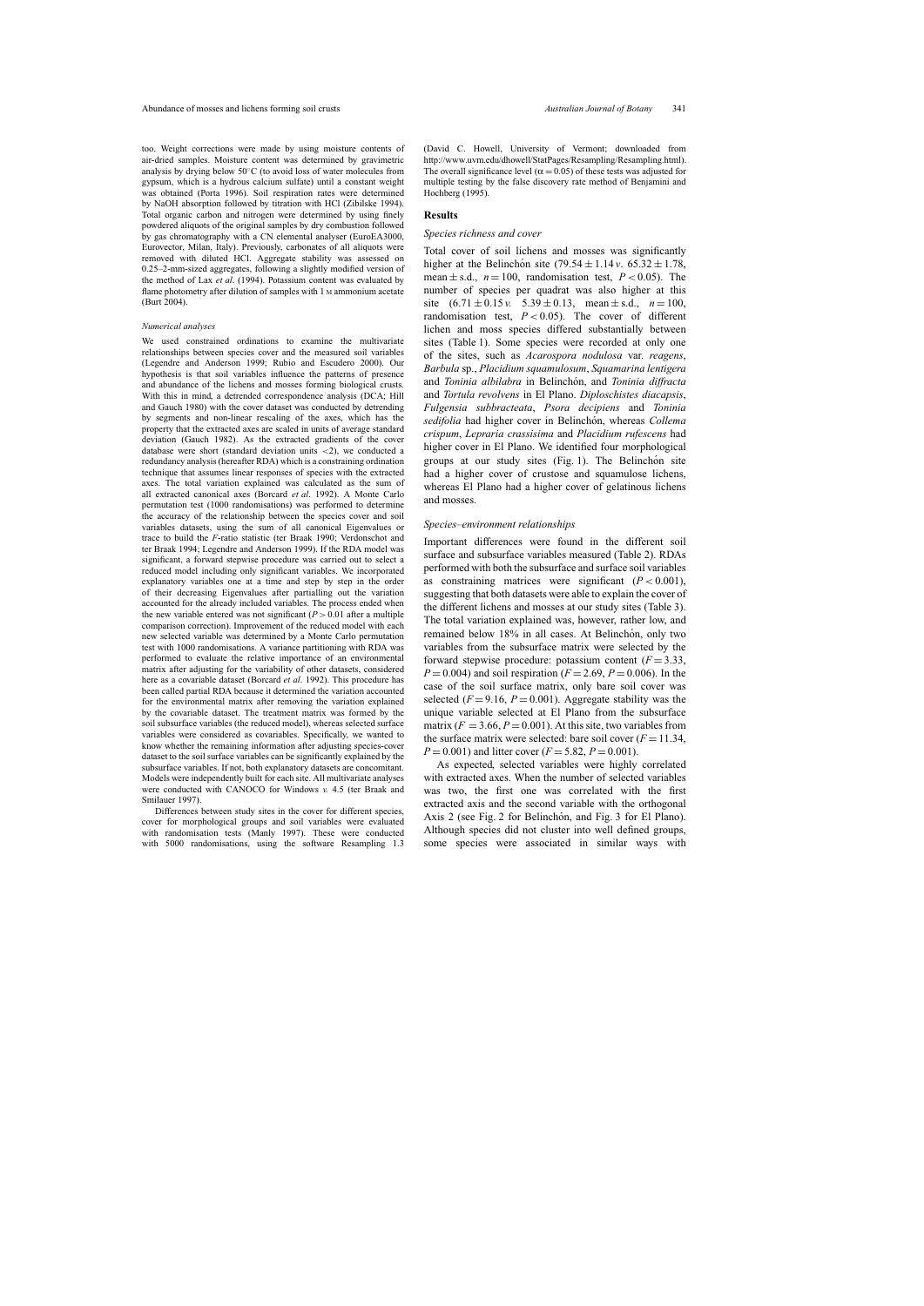too. Weight corrections were made by using moisture contents of air-dried samples. Moisture content was determined by gravimetric analysis by drying below 50◦C (to avoid loss of water molecules from gypsum, which is a hydrous calcium sulfate) until a constant weight was obtained ([Porta 1996\).](#page-8-0) Soil respiration rates were determined by NaOH absorption followed by titration with HCl ([Zibilske 1994\).](#page-9-0) Total organic carbon and nitrogen were determined by using finely powdered aliquots of the original samples by dry combustion followed by gas chromatography with a CN elemental analyser (EuroEA3000, Eurovector, Milan, Italy). Previously, carbonates of all aliquots were removed with diluted HCl. Aggregate stability was assessed on 0.25–2-mm-sized aggregates, following a slightly modified version of the method of Lax *et al*[. \(1994\).](#page-8-0) Potassium content was evaluated by flame photometry after dilution of samples with 1 M ammonium acetate [\(Burt 2004\).](#page-7-0)

#### *Numerical analyses*

We used constrained ordinations to examine the multivariate relationships between species cover and the measured soil variables [\(Legendre and Anderson 199](#page-8-0)9; [Rubio and Escudero 200](#page-8-0)0). Our hypothesis is that soil variables influence the patterns of presence and abundance of the lichens and mosses forming biological crusts. With this in mind, a detrended correspondence analysis (DCA; Hill and Gauch 1980) with the cover dataset was conducted by detrending by segments and non-linear rescaling of the axes, which has the property that the extracted axes are scaled in units of average standard deviation [\(Gauch 1982\)](#page-8-0). As the extracted gradients of the cover database were short (standard deviation units  $\langle 2 \rangle$ ), we conducted a redundancy analysis (hereafter RDA) which is a constraining ordination technique that assumes linear responses of species with the extracted axes. The total variation explained was calculated as the sum of all extracted canonical axes ([Borcard](#page-7-0) *et al*. 1992). A Monte Carlo permutation test (1000 randomisations) was performed to determine the accuracy of the relationship between the species cover and soil variables datasets, using the sum of all canonical Eigenvalues or trace to build the *F*-ratio statistic [\(ter Braak 1990;](#page-7-0) [Verdonschot and](#page-9-0) ter Braak 1994; [Legendre and Anderson 1999\).](#page-8-0) If the RDA model was significant, a forward stepwise procedure was carried out to select a reduced model including only significant variables. We incorporated explanatory variables one at a time and step by step in the order of their decreasing Eigenvalues after partialling out the variation accounted for the already included variables. The process ended when the new variable entered was not significant  $(P > 0.01$  after a multiple comparison correction). Improvement of the reduced model with each new selected variable was determined by a Monte Carlo permutation test with 1000 randomisations. A variance partitioning with RDA was performed to evaluate the relative importance of an environmental matrix after adjusting for the variability of other datasets, considered here as a covariable dataset ([Borcard](#page-7-0) *et al*. 1992). This procedure has been called partial RDA because it determined the variation accounted for the environmental matrix after removing the variation explained by the covariable dataset. The treatment matrix was formed by the soil subsurface variables (the reduced model), whereas selected surface variables were considered as covariables. Specifically, we wanted to know whether the remaining information after adjusting species-cover dataset to the soil surface variables can be significantly explained by the subsurface variables. If not, both explanatory datasets are concomitant. Models were independently built for each site. All multivariate analyses were conducted with CANOCO for Windows *v.* 4.5 ([ter Braak and](#page-7-0) Smilauer 1997).

Differences between study sites in the cover for different species, cover for morphological groups and soil variables were evaluated with randomisation tests [\(Manly 1997\)](#page-8-0). These were conducted with 5000 randomisations, using the software Resampling 1.3 (David C. Howell, University of Vermont; downloaded from http://www.uvm.edu/dhowell/StatPages/Resampling/Resampling.html). The overall significance level ( $\alpha$  = 0.05) of these tests was adjusted for multiple testing by the false discovery rate method of [Benjamini and](#page-7-0) Hochberg (1995).

## **Results**

## *Species richness and cover*

Total cover of soil lichens and mosses was significantly higher at the Belinchon site  $(79.54 \pm 1.14 \, \nu. \, 65.32 \pm 1.78,$ mean  $\pm$  s.d.,  $n = 100$ , randomisation test,  $P < 0.05$ ). The number of species per quadrat was also higher at this site  $(6.71 \pm 0.15 \nu. 5.39 \pm 0.13, \text{ mean} \pm \text{s.d., } n = 100,$ randomisation test,  $P < 0.05$ ). The cover of different lichen and moss species differed substantially between sites [\(Table 1\).](#page-3-0) Some species were recorded at only one of the sites, such as *Acarospora nodulosa* var. *reagens*, *Barbula* sp., *Placidium squamulosum*, *Squamarina lentigera* and *Toninia albilabra* in Belinchón, and *Toninia diffracta* and *[Tortula](#page-8-0) revolvens* in El Plano. *Diploschistes diacapsis*, *Fulgensia subbracteata*, *Psora decipiens* and *Toninia*  $s$ *edifolia* had higher cover in Belinchón, whereas *Collema crispum*, *Lepraria crassisima* and *Placidium rufescens* had higher cover in El Plano. We identified four morphological groups at our study sites ([Fig. 1\).](#page-3-0) The Belinchon site had a higher cover of crustose and squamulose lichens, whereas El Plano had a higher cover of gelatinous lichens and mosses.

#### *Species–environment relationships*

Important differences were found in the different soil surface and subsurface variables measured [\(Table 2\).](#page-3-0) RDAs performed with both the subsurface and surface soil variables as constraining matrices were significant  $(P < 0.001)$ , suggesting that both datasets were able to explain the cover of the different lichens and mosses at our study sites ([Table 3\).](#page-4-0) The total variation explained was, however, rather low, and remained below 18% in all cases. At Belinchon, only two variables from the subsurface matrix were selected by the forward stepwise procedure: potassium content  $(F = 3.33)$ ,  $P = 0.004$ ) and soil respiration ( $F = 2.69$ ,  $P = 0.006$ ). In the case of the soil surface matrix, only bare soil cover was selected  $(F = 9.16, P = 0.001)$ . Aggregate stability was the unique variable selected at El Plano from the subsurface matrix  $(F = 3.66, P = 0.001)$ . At this site, two variables from the surface matrix were selected: bare soil cover  $(F = 11.34,$  $P = 0.001$ ) and litter cover ( $F = 5.82, P = 0.001$ ).

As expected, selected variables were highly correlated with extracted axes. When the number of selected variables was two, the first one was correlated with the first extracted axis and the second variable with the orthogonal Axis 2 (see [Fig. 2 f](#page-4-0)or Belinchon, and [Fig. 3 f](#page-5-0)or El Plano). Although species did not cluster into well defined groups, some species were associated in similar ways with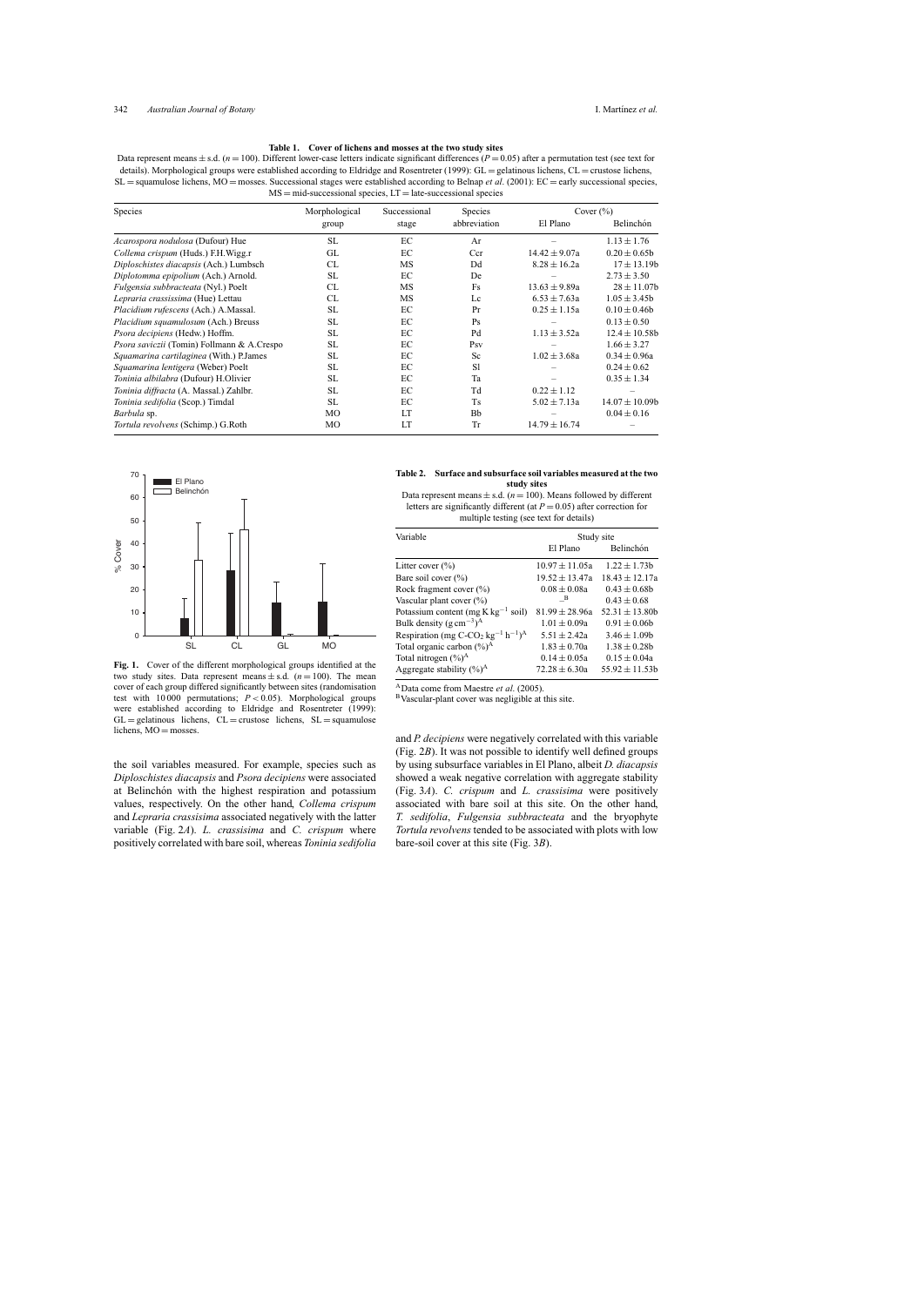#### **Table 1. Cover of lichens and mosses at the two study sites**

<span id="page-3-0"></span>Data represent means  $\pm$  s.d. ( $n = 100$ ). Different lower-case letters indicate significant differences ( $P = 0.05$ ) after a permutation test (see text for details). Morphological groups were established according to Eldridge and Rosentreter (1999):  $GL =$  gelatinous lichens,  $CL =$  crustose lichens, SL = squamulose lichens, MO = mosses. Successional stages were established according to Belnap *et al*[. \(2001\): E](#page-7-0)C = early successional species,  $MS = mid-successful species$ ,  $LT = late-successful species$ 

| <b>Species</b>                                    | Morphological | Successional | <b>Species</b> | Cover $(\% )$     |                   |
|---------------------------------------------------|---------------|--------------|----------------|-------------------|-------------------|
|                                                   | group         | stage        | abbreviation   | El Plano          | Belinchón         |
| Acarospora nodulosa (Dufour) Hue                  | SL.           | EC           | Ar             |                   | $1.13 \pm 1.76$   |
| Collema crispum (Huds.) F.H.Wigg.r                | GL            | EC           | Ccr            | $14.42 \pm 9.07a$ | $0.20 \pm 0.65$   |
| Diploschistes diacapsis (Ach.) Lumbsch            | <b>CL</b>     | MS           | Dd             | $8.28 \pm 16.2a$  | $17 \pm 13.19b$   |
| Diplotomma epipolium (Ach.) Arnold.               | SL            | EC           | De             |                   | $2.73 \pm 3.50$   |
| Fulgensia subbracteata (Nyl.) Poelt               | <b>CL</b>     | MS           | Fs             | $13.63 \pm 9.89a$ | $28 \pm 11.07$ b  |
| Lepraria crassissima (Hue) Lettau                 | <b>CL</b>     | MS           | $L_{\rm c}$    | $6.53 \pm 7.63a$  | $1.05 \pm 3.45b$  |
| Placidium rufescens (Ach.) A.Massal.              | SL.           | EC           | Pr             | $0.25 \pm 1.15a$  | $0.10 \pm 0.46$   |
| <i>Placidium squamulosum</i> (Ach.) Breuss        | SL.           | EC           | Ps             |                   | $0.13 \pm 0.50$   |
| Psora decipiens (Hedw.) Hoffm.                    | SL.           | EC           | Pd             | $1.13 \pm 3.52a$  | $12.4 \pm 10.58$  |
| <i>Psora saviczii</i> (Tomin) Follmann & A.Crespo | SL            | EC           | Psy            |                   | $1.66 \pm 3.27$   |
| Squamarina cartilaginea (With.) P.James           | <b>SL</b>     | EC           | <b>Sc</b>      | $1.02 \pm 3.68a$  | $0.34 \pm 0.96a$  |
| Squamarina lentigera (Weber) Poelt                | SL            | EC           | S1             |                   | $0.24 \pm 0.62$   |
| Toninia albilabra (Dufour) H.Olivier              | SL            | EC           | Ta             |                   | $0.35 \pm 1.34$   |
| Toninia diffracta (A. Massal.) Zahlbr.            | SL.           | EC           | Td             | $0.22 \pm 1.12$   |                   |
| Toninia sedifolia (Scop.) Timdal                  | SL.           | EC           | <b>Ts</b>      | $5.02 \pm 7.13a$  | $14.07 \pm 10.09$ |
| Barbula sp.                                       | MO            | LT           | Bb             |                   | $0.04 \pm 0.16$   |
| Tortula revolvens (Schimp.) G.Roth                | MO            | LT           | Tr             | $14.79 \pm 16.74$ |                   |



**Fig. 1.** Cover of the different morphological groups identified at the two study sites. Data represent means  $\pm$  s.d. (*n* = 100). The mean cover of each group differed significantly between sites (randomisation test with 10 000 permutations; *P* < 0.05). Morphological groups were established according to [Eldridge and Rosentreter \(1999](#page-7-0)):  $GL =$  gelatinous lichens,  $CL =$  crustose lichens,  $SL =$  squamulose lichens,  $MO =$  mosses.

the soil variables measured. For example, species such as *Diploschistes diacapsis* and *Psora decipiens* were associated at Belinchon with the highest respiration and potassium values, respectively. On the other hand, *Collema crispum* and *Lepraria crassisima* associated negatively with the latter variable [\(Fig. 2](#page-4-0)*A*). *L. crassisima* and *C. crispum* where positively correlated with bare soil, whereas *Toninia sedifolia*

#### **Table 2. Surface and subsurface soil variables measured at the two study sites**

Data represent means  $\pm$  s.d. ( $n = 100$ ). Means followed by different letters are significantly different (at  $P = 0.05$ ) after correction for multiple testing (see text for details)

| Variable                                                                             | Study site         |                    |  |
|--------------------------------------------------------------------------------------|--------------------|--------------------|--|
|                                                                                      | El Plano           | Belinchón          |  |
| Litter cover $(\% )$                                                                 | $10.97 \pm 11.05a$ | $1.22 \pm 1.73b$   |  |
| Bare soil cover $(\% )$                                                              | $19.52 \pm 13.47a$ | $18.43 \pm 12.17a$ |  |
| Rock fragment cover $(\% )$                                                          | $0.08 \pm 0.08a$   | $0.43 \pm 0.68$    |  |
| Vascular plant cover $(\% )$                                                         | $\mathbf{B}$       | $0.43 \pm 0.68$    |  |
| Potassium content (mg K kg <sup>-1</sup> soil)                                       | $81.99 \pm 28.96a$ | $52.31 \pm 13.80$  |  |
| Bulk density $(g \text{ cm}^{-3})^{\text{A}}$                                        | $1.01 \pm 0.09a$   | $0.91 \pm 0.06$    |  |
| Respiration (mg $C$ -CO <sub>2</sub> kg <sup>-1</sup> h <sup>-1</sup> ) <sup>A</sup> | $5.51 \pm 2.42a$   | $3.46 \pm 1.09$    |  |
| Total organic carbon $(\%)^A$                                                        | $1.83 \pm 0.70a$   | $1.38 \pm 0.28$    |  |
| Total nitrogen $(\%)^A$                                                              | $0.14 \pm 0.05a$   | $0.15 \pm 0.04a$   |  |
| Aggregate stability $(\%)^A$                                                         | $72.28 \pm 6.30a$  | $55.92 \pm 11.53b$ |  |

AData come from Maestre *et al*[. \(2005\).](#page-8-0)

BVascular-plant cover was negligible at this site.

and *P. decipiens* were negatively correlated with this variable [\(Fig. 2](#page-4-0)*B*). It was not possible to identify well defined groups by using subsurface variables in El Plano, albeit *D. diacapsis* showed a weak negative correlation with aggregate stability [\(Fig. 3](#page-5-0)*A*). *C. crispum* and *L. crassisima* were positively associated with bare soil at this site. On the other hand, *T. sedifolia*, *Fulgensia subbracteata* and the bryophyte *Tortula revolvens* tended to be associated with plots with low bare-soil cover at this site [\(Fig. 3](#page-5-0)*B*).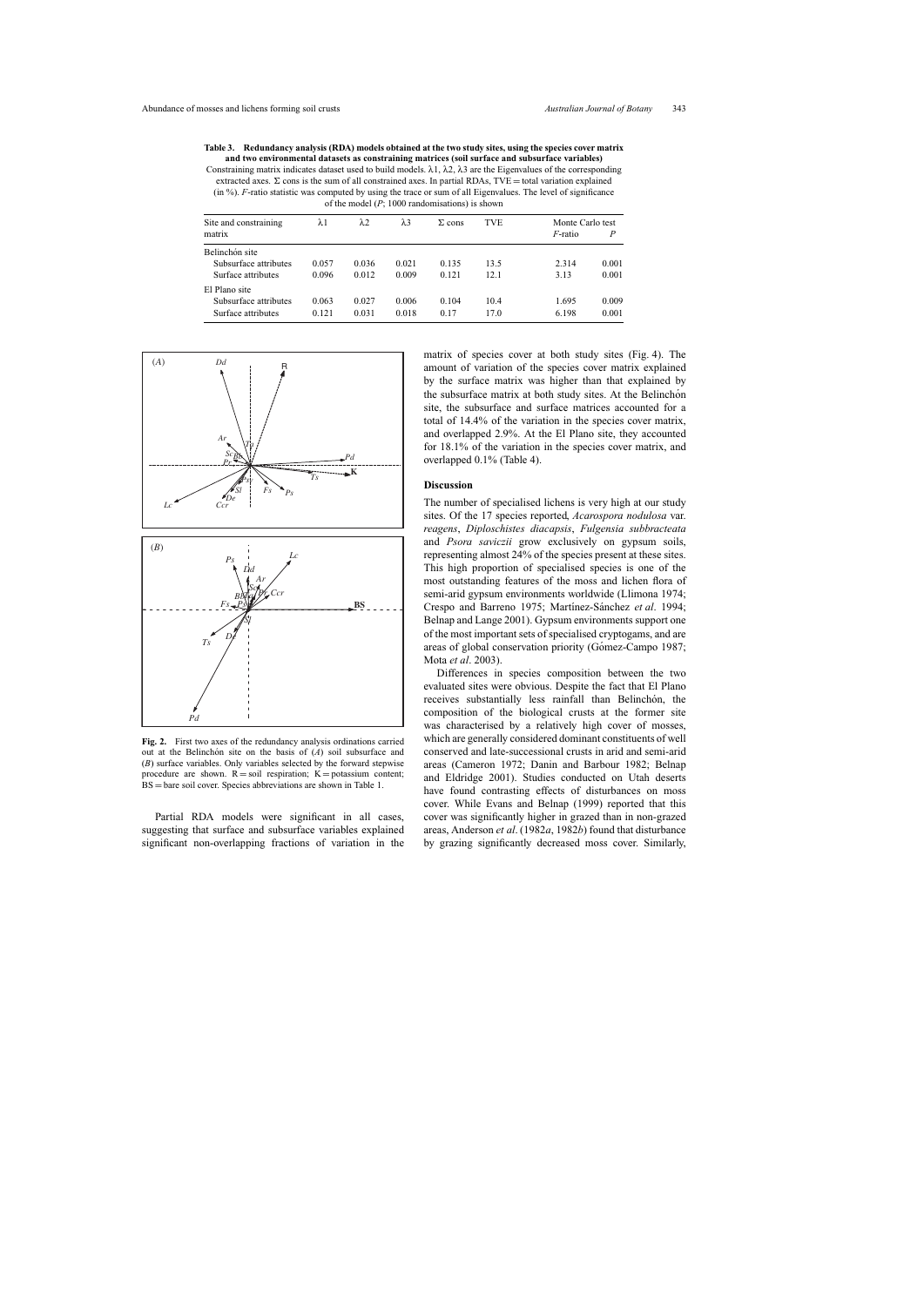<span id="page-4-0"></span>**Table 3. Redundancy analysis (RDA) models obtained at the two study sites, using the species cover matrix and two environmental datasets as constraining matrices (soil surface and subsurface variables)** Constraining matrix indicates dataset used to build models.  $\lambda_1$ ,  $\lambda_2$ ,  $\lambda_3$  are the Eigenvalues of the corresponding extracted axes.  $\Sigma$  cons is the sum of all constrained axes. In partial RDAs, TVE = total variation explained

(in %). *F*-ratio statistic was computed by using the trace or sum of all Eigenvalues. The level of significance of the model (*P*; 1000 randomisations) is shown

| Site and constraining<br>matrix | $\lambda 1$<br>$\lambda$ 3<br>$\lambda 2$ |       |       | $\Sigma$ cons | <b>TVE</b> | Monte Carlo test<br><i>F</i> -ratio<br>P |       |
|---------------------------------|-------------------------------------------|-------|-------|---------------|------------|------------------------------------------|-------|
| Belinchón site                  |                                           |       |       |               |            |                                          |       |
| Subsurface attributes           | 0.057                                     | 0.036 | 0.021 | 0.135         | 13.5       | 2.314                                    | 0.001 |
| Surface attributes              | 0.096                                     | 0.012 | 0.009 | 0.121         | 12.1       | 3.13                                     | 0.001 |
| El Plano site                   |                                           |       |       |               |            |                                          |       |
| Subsurface attributes           | 0.063                                     | 0.027 | 0.006 | 0.104         | 10.4       | 1.695                                    | 0.009 |
| Surface attributes              | 0.121                                     | 0.031 | 0.018 | 0.17          | 17.0       | 6.198                                    | 0.001 |
|                                 |                                           |       |       |               |            |                                          |       |



**Fig. 2.** First two axes of the redundancy analysis ordinations carried out at the Belinchón site on the basis of  $(A)$  soil subsurface and (*B*) surface variables. Only variables selected by the forward stepwise procedure are shown.  $R = soil$  respiration;  $K = potassium$  content; BS = bare soil cover. Species abbreviations are shown in [Table 1.](#page-3-0)

Partial RDA models were significant in all cases, suggesting that surface and subsurface variables explained significant non-overlapping fractions of variation in the matrix of species cover at both study sites [\(Fig. 4\).](#page-6-0) The amount of variation of the species cover matrix explained by the surface matrix was higher than that explained by the subsurface matrix at both study sites. At the Belinchon site, the subsurface and surface matrices accounted for a total of 14.4% of the variation in the species cover matrix, and overlapped 2.9%. At the El Plano site, they accounted for 18.1% of the variation in the species cover matrix, and overlapped 0.1% [\(Table 4\).](#page-6-0)

## **Discussion**

The number of specialised lichens is very high at our study sites. Of the 17 species reported, *Acarospora nodulosa* var. *reagens*, *Diploschistes diacapsis*, *Fulgensia subbracteata* and *Psora saviczii* grow exclusively on gypsum soils, representing almost 24% of the species present at these sites. This high proportion of specialised species is one of the most outstanding features of the moss and lichen flora of semi-arid gypsum environments worldwide [\(Llimona 1974;](#page-8-0) [Crespo and Barreno 1975](#page-7-0); Martínez-Sánchez et al. 1994; [Belnap and Lange 2001\).](#page-7-0) Gypsum environments support one of the most important sets of specialised cryptogams, and are areas of global conservation priority (Gómez-Campo 1987; Mota *et al*[. 2003\).](#page-8-0)

Differences in species composition between the two evaluated sites were obvious. Despite the fact that El Plano receives substantially less rainfall than Belinchon, the composition of the biological crusts at the former site was characterised by a relatively high cover of mosses, which are generally considered dominant constituents of well conserved and late-successional crusts in arid and semi-arid areas [\(Cameron 1972; Danin and Barbour 1982](#page-7-0); [Belnap](#page-7-0) and Eldridge 2001). Studies conducted on Utah deserts have found contrasting effects of disturbances on moss cover. While [Evans and Belnap \(1999\)](#page-8-0) reported that this cover was significantly higher in grazed than in non-grazed areas, [Anderson](#page-7-0) *et al*. (1982*a*, [1982](#page-7-0)*b*) found that disturbance by grazing significantly decreased moss cover. Similarly,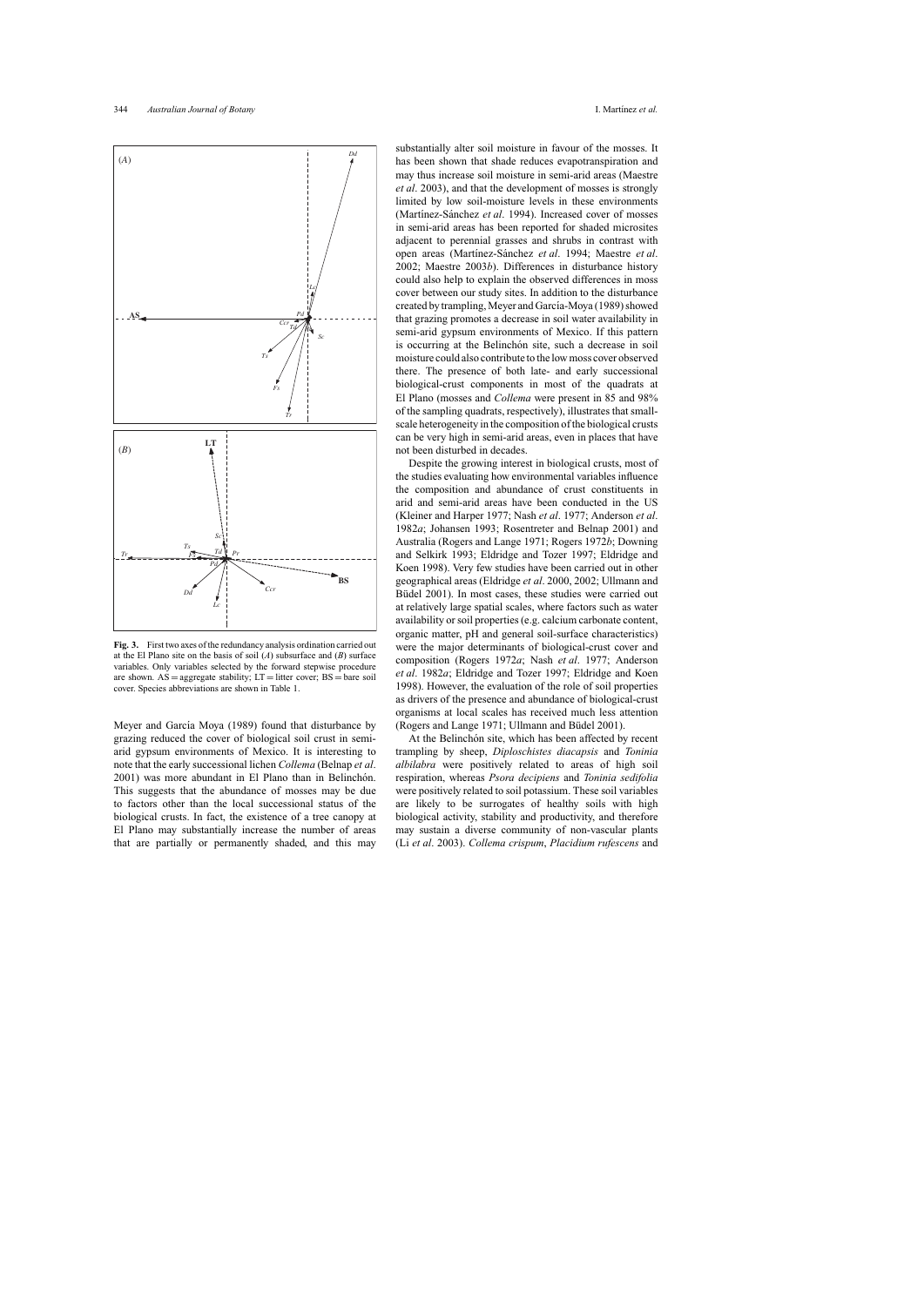<span id="page-5-0"></span>

**Fig. 3.** First two axes of the redundancy analysis ordination carried out at the El Plano site on the basis of soil (*A*) subsurface and (*B*) surface variables. Only variables selected by the forward stepwise procedure are shown.  $AS =$  aggregate stability;  $LT =$  litter cover;  $BS =$  bare soil cover. Species abbreviations are shown in [Table 1.](#page-3-0)

Meyer and García Moya (1989) found that disturbance by grazing reduced the cover of biological soil crust in semiarid gypsum environments of Mexico. It is interesting to note that the early successional lichen *Collema* ([Belnap](#page-7-0) *et al*. 2001) was more abundant in El Plano than in Belinchón. This suggests that the abundance of mosses may be due to factors other than the local successional status of the biological crusts. In fact, the existence of a tree canopy at El Plano may substantially increase the number of areas that are partially or permanently shaded, and this may substantially alter soil moisture in favour of the mosses. It has been shown that shade reduces evapotranspiration and may thus increase soil moisture in semi-arid areas ([Maestre](#page-8-0) *et al*. 2003), and that the development of mosses is strongly limited by low soil-moisture levels in these environments (Martínez-Sánchez et al. 1994). Increased cover of mosses in semi-arid areas has been reported for shaded microsites adjacent to perennial grasses and shrubs in contrast with open areas (Martínez-Sánchez et al. 1994; [Maestre](#page-8-0) et al. 2002; [Maestre 2003](#page-8-0)*b*). Differences in disturbance history could also help to explain the observed differences in moss cover between our study sites. In addition to the disturbance created by trampling, Meyer and García-Moya (1989) showed that grazing promotes a decrease in soil water availability in semi-arid gypsum environments of Mexico. If this pattern is occurring at the Belinchón site, such a decrease in soil moisture could also contribute to the low moss cover observed there. The presence of both late- and early successional biological-crust components in most of the quadrats at El Plano (mosses and *Collema* were present in 85 and 98% of the sampling quadrats, respectively), illustrates that smallscale heterogeneity in the composition of the biological crusts can be very high in semi-arid areas, even in places that have not been disturbed in decades.

Despite the growing interest in biological crusts, most of the studies evaluating how environmental variables influence the composition and abundance of crust constituents in arid and semi-arid areas have been conducted in the US [\(Kleiner and Harper 1977; N](#page-8-0)ash *et al*[. 1977;](#page-8-0) [Anderson](#page-7-0) *et al*. 1982*a*; [Johansen 1993; Rosentreter and Belnap 2001\)](#page-8-0) and Australia [\(Rogers and Lange 1971; Rogers 1972](#page-8-0)*b*; [Downing](#page-7-0) and Selkirk 1993; [Eldridge and Tozer 1997; Eldridge and](#page-7-0) Koen 1998). Very few studies have been carried out in other geographical areas [\(Eldridge](#page-7-0) *et al*. 2000, [2002; Ullmann and](#page-8-0) Büdel 2001). In most cases, these studies were carried out at relatively large spatial scales, where factors such as water availability or soil properties (e.g. calcium carbonate content, organic matter, pH and general soil-surface characteristics) were the major determinants of biological-crust cover and composition [\(Rogers 1972](#page-8-0)*a*; Nash *et al*[. 1977;](#page-8-0) [Anderson](#page-7-0) *et al*. 1982*a*; [Eldridge and Tozer 1997; Eldridge and Koen](#page-7-0) 1998). However, the evaluation of the role of soil properties as drivers of the presence and abundance of biological-crust organisms at local scales has received much less attention (Rogers and Lange 1971; Ullmann and Büdel 2001).

At the Belinchon site, which has been affected by recent trampling by sheep, *Diploschistes diacapsis* and *Toninia albilabra* were positively related to areas of high soil respiration, whereas *Psora decipiens* and *Toninia sedifolia* were positively related to soil potassium. These soil variables are likely to be surrogates of healthy soils with high biological activity, stability and productivity, and therefore may sustain a diverse community of non-vascular plants (Li *et al*[. 2003\).](#page-8-0) *Collema crispum*, *Placidium rufescens* and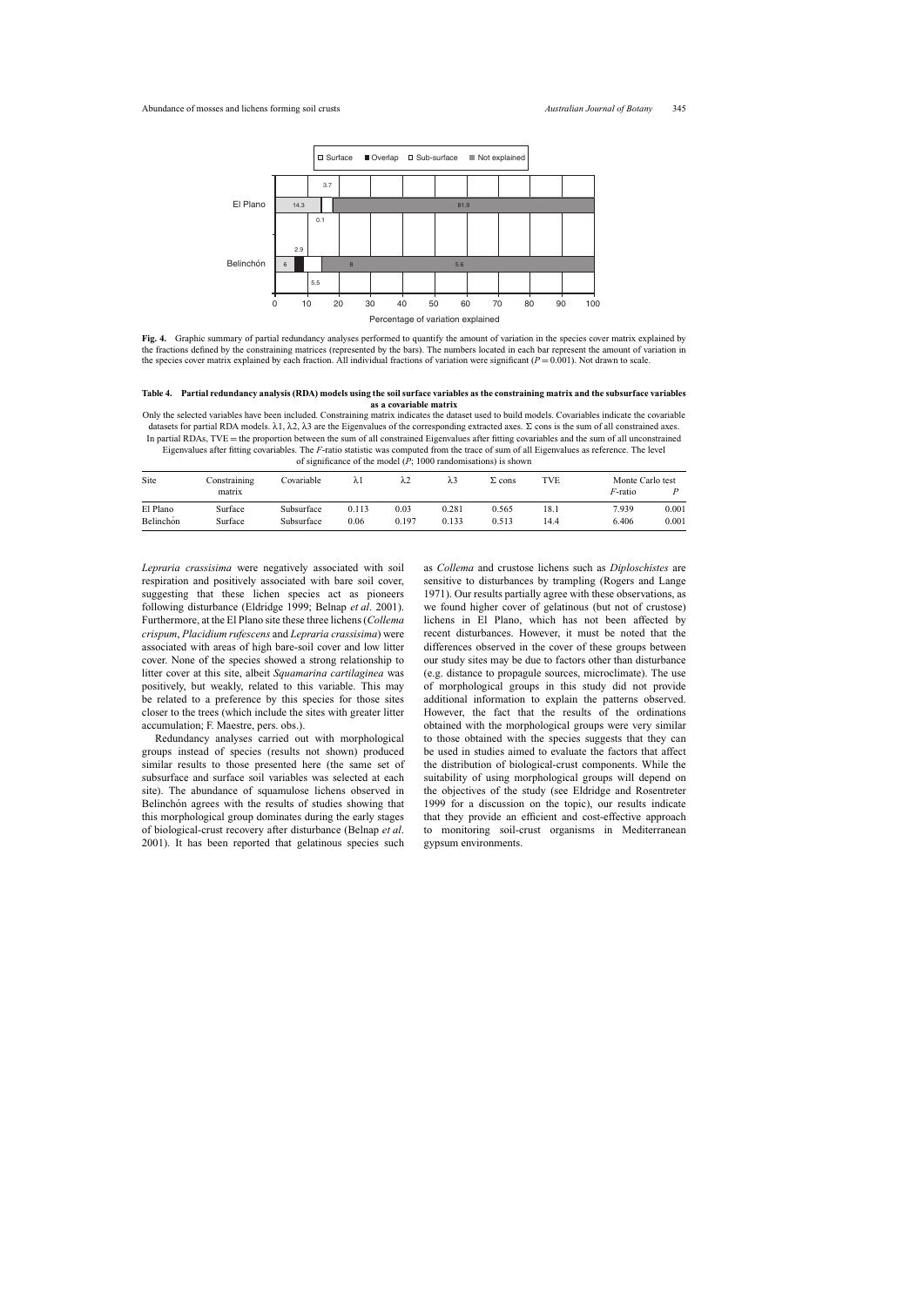<span id="page-6-0"></span>

**Fig. 4.** Graphic summary of partial redundancy analyses performed to quantify the amount of variation in the species cover matrix explained by the fractions defined by the constraining matrices (represented by the bars). The numbers located in each bar represent the amount of variation in the species cover matrix explained by each fraction. All individual fractions of variation were significant (*P* = 0.001). Not drawn to scale.

#### **Table 4. Partial redundancy analysis (RDA) models using the soil surface variables as the constraining matrix and the subsurface variables as a covariable matrix**

Only the selected variables have been included. Constraining matrix indicates the dataset used to build models. Covariables indicate the covariable datasets for partial RDA models.  $\lambda$ 1,  $\lambda$ 2,  $\lambda$ 3 are the Eigenvalues of the corresponding extracted axes.  $\Sigma$  cons is the sum of all constrained axes. In partial RDAs, TVE = the proportion between the sum of all constrained Eigenvalues after fitting covariables and the sum of all unconstrained Eigenvalues after fitting covariables. The *F*-ratio statistic was computed from the trace of sum of all Eigenvalues as reference. The level

of significance of the model (*P*; 1000 randomisations) is shown

| <b>Site</b> | Constraining | Covariable | λl    | λ2    | λ3    | $\Sigma$ cons | <b>TVE</b> | Monte Carlo test |       |
|-------------|--------------|------------|-------|-------|-------|---------------|------------|------------------|-------|
|             | matrix       |            |       |       |       |               |            | <i>F</i> -ratio  |       |
| El Plano    | Surface      | Subsurface | 0.113 | 0.03  | 0.281 | 0.565         | 18.1       | 7.939            | 0.001 |
| Belinchón   | Surface      | Subsurface | 0.06  | 0.197 | 0.133 | 0.513         | 14.4       | 6.406            | 0.001 |

*Lepraria crassisima* were negatively associated with soil respiration and positively associated with bare soil cover, suggesting that these lichen species act as pioneers following disturbance ([Eldridge 1999;](#page-7-0) Belnap *et al*[. 2001\).](#page-7-0) Furthermore, at the El Plano site these three lichens (*Collema crispum*, *Placidium rufescens* and *Lepraria crassisima*) were associated with areas of high bare-soil cover and low litter cover. None of the species showed a strong relationship to litter cover at this site, albeit *Squamarina cartilaginea* was positively, but weakly, related to this variable. This may be related to a preference by this species for those sites closer to the trees (which include the sites with greater litter accumulation; F. Maestre, pers. obs.).

Redundancy analyses carried out with morphological groups instead of species (results not shown) produced similar results to those presented here (the same set of subsurface and surface soil variables was selected at each site). The abundance of squamulose lichens observed in Belinchón agrees with the results of studies showing that this morphological group dominates during the early stages of biological-crust recovery after disturbance [\(Belnap](#page-7-0) *et al*. 2001). It has been reported that gelatinous species such

as *Collema* and crustose lichens such as *Diploschistes* are sensitive to disturbances by trampling [\(Rogers and Lange](#page-8-0) 1971). Our results partially agree with these observations, as we found higher cover of gelatinous (but not of crustose) lichens in El Plano, which has not been affected by recent disturbances. However, it must be noted that the differences observed in the cover of these groups between our study sites may be due to factors other than disturbance (e.g. distance to propagule sources, microclimate). The use of morphological groups in this study did not provide additional information to explain the patterns observed. However, the fact that the results of the ordinations obtained with the morphological groups were very similar to those obtained with the species suggests that they can be used in studies aimed to evaluate the factors that affect the distribution of biological-crust components. While the suitability of using morphological groups will depend on the objectives of the study (see [Eldridge and Rosentreter](#page-7-0) 1999 for a discussion on the topic), our results indicate that they provide an efficient and cost-effective approach to monitoring soil-crust organisms in Mediterranean gypsum environments.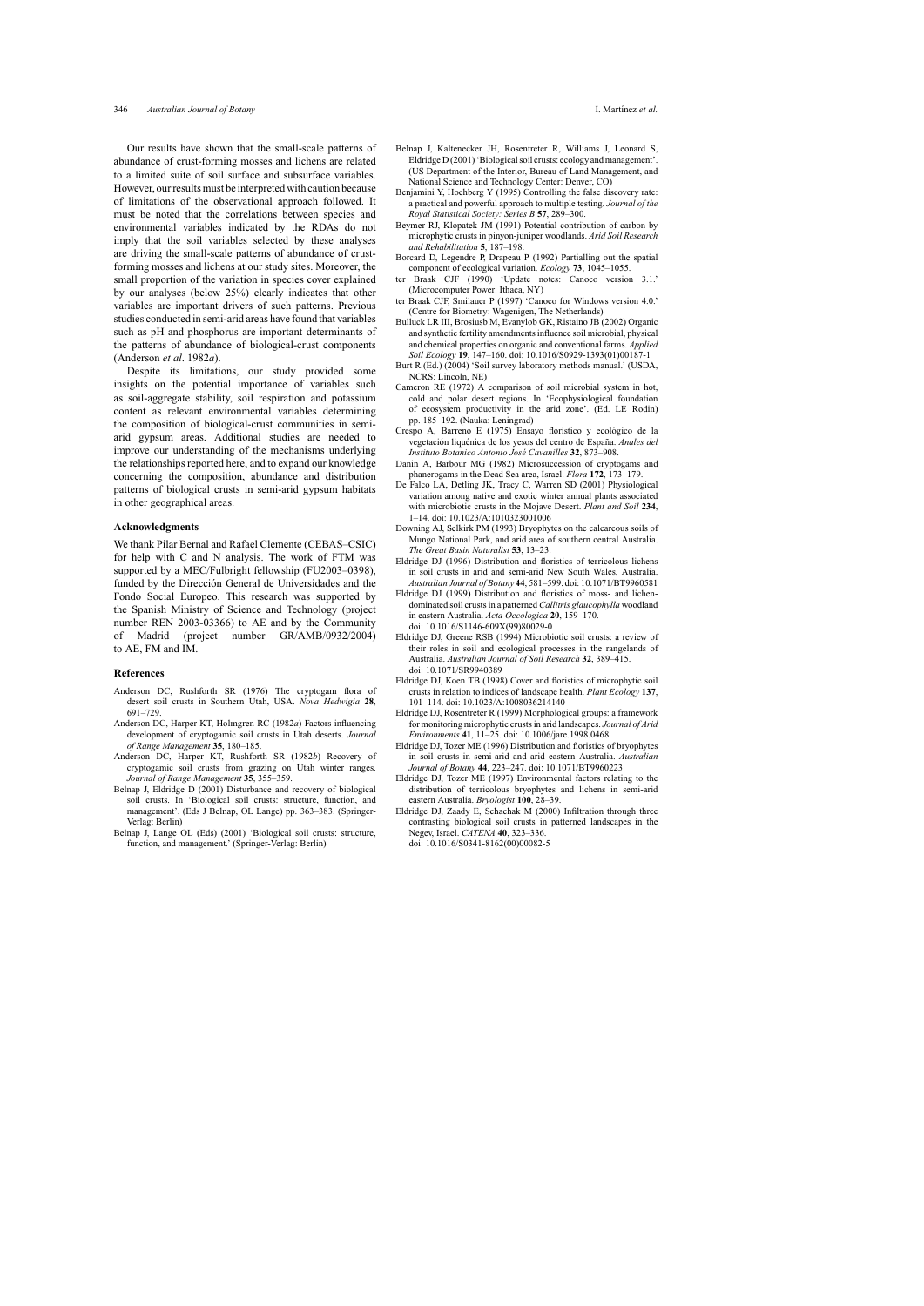<span id="page-7-0"></span>Our results have shown that the small-scale patterns of abundance of crust-forming mosses and lichens are related to a limited suite of soil surface and subsurface variables. However, our results must be interpreted with caution because of limitations of the observational approach followed. It must be noted that the correlations between species and environmental variables indicated by the RDAs do not imply that the soil variables selected by these analyses are driving the small-scale patterns of abundance of crustforming mosses and lichens at our study sites. Moreover, the small proportion of the variation in species cover explained by our analyses (below 25%) clearly indicates that other variables are important drivers of such patterns. Previous studies conducted in semi-arid areas have found that variables such as pH and phosphorus are important determinants of the patterns of abundance of biological-crust components (Anderson *et al*. 1982*a*).

Despite its limitations, our study provided some insights on the potential importance of variables such as soil-aggregate stability, soil respiration and potassium content as relevant environmental variables determining the composition of biological-crust communities in semiarid gypsum areas. Additional studies are needed to improve our understanding of the mechanisms underlying the relationships reported here, and to expand our knowledge concerning the composition, abundance and distribution patterns of biological crusts in semi-arid gypsum habitats in other geographical areas.

# **Acknowledgments**

We thank Pilar Bernal and Rafael Clemente (CEBAS–CSIC) for help with C and N analysis. The work of FTM was supported by a MEC/Fulbright fellowship (FU2003–0398), funded by the Dirección General de Universidades and the Fondo Social Europeo. This research was supported by the Spanish Ministry of Science and Technology (project number REN 2003-03366) to AE and by the Community of Madrid (project number GR/AMB/0932/2004) to AE, FM and IM.

#### **References**

- Anderson DC, Rushforth SR (1976) The cryptogam flora of desert soil crusts in Southern Utah, USA. *Nova Hedwigia* **28**, 691–729.
- Anderson DC, Harper KT, Holmgren RC (1982*a*) Factors influencing development of cryptogamic soil crusts in Utah deserts. *Journal of Range Management* **35**, 180–185.
- Anderson DC, Harper KT, Rushforth SR (1982*b*) Recovery of cryptogamic soil crusts from grazing on Utah winter ranges. *Journal of Range Management* **35**, 355–359.
- Belnap J, Eldridge D (2001) Disturbance and recovery of biological soil crusts. In 'Biological soil crusts: structure, function, and management'. (Eds J Belnap, OL Lange) pp. 363–383. (Springer-Verlag: Berlin)
- Belnap J, Lange OL (Eds) (2001) 'Biological soil crusts: structure, function, and management.' (Springer-Verlag: Berlin)
- Belnap J, Kaltenecker JH, Rosentreter R, Williams J, Leonard S, Eldridge D (2001) 'Biological soil crusts: ecology and management'. (US Department of the Interior, Bureau of Land Management, and National Science and Technology Center: Denver, CO)
- Benjamini Y, Hochberg Y (1995) Controlling the false discovery rate: a practical and powerful approach to multiple testing. *Journal of the Royal Statistical Society: Series B* **57**, 289–300.
- Beymer RJ, Klopatek JM (1991) Potential contribution of carbon by microphytic crusts in pinyon-juniper woodlands. *Arid Soil Research and Rehabilitation* **5**, 187–198.
- Borcard D, Legendre P, Drapeau P (1992) Partialling out the spatial component of ecological variation. *Ecology* **73**, 1045–1055.
- ter Braak CJF (1990) 'Update notes: Canoco version 3.1.' (Microcomputer Power: Ithaca, NY)
- ter Braak CJF, Smilauer P (1997) 'Canoco for Windows version 4.0.' (Centre for Biometry: Wagenigen, The Netherlands)
- Bulluck LR III, Brosiusb M, Evanylob GK, Ristaino JB (2002) Organic and synthetic fertility amendments influence soil microbial, physical and chemical properties on organic and conventional farms. *Applied Soil Ecology* **19**, 147–160. doi: 10.1016/S0929-1393(01)00187-1
- Burt R (Ed.) (2004) 'Soil survey laboratory methods manual.' (USDA, NCRS: Lincoln, NE)
- Cameron RE (1972) A comparison of soil microbial system in hot, cold and polar desert regions. In 'Ecophysiological foundation of ecosystem productivity in the arid zone'. (Ed. LE Rodin) pp. 185–192. (Nauka: Leningrad)
- Crespo A, Barreno E (1975) Ensayo florístico y ecológico de la vegetación liquénica de los yesos del centro de España. *Anales del Instituto Botanico Antonio Jose Cavanilles ´* **32**, 873–908.
- Danin A, Barbour MG (1982) Microsuccession of cryptogams and phanerogams in the Dead Sea area, Israel. *Flora* **172**, 173–179.
- De Falco LA, Detling JK, Tracy C, Warren SD (2001) Physiological variation among native and exotic winter annual plants associated with microbiotic crusts in the Mojave Desert. *Plant and Soil* **234**, 1–14. doi: 10.1023/A:1010323001006
- Downing AJ, Selkirk PM (1993) Bryophytes on the calcareous soils of Mungo National Park, and arid area of southern central Australia. *The Great Basin Naturalist* **53**, 13–23.
- Eldridge DJ (1996) Distribution and floristics of terricolous lichens in soil crusts in arid and semi-arid New South Wales, Australia. *Australian Journal of Botany* **44**, 581–599. doi: 10.1071/BT9960581
- Eldridge DJ (1999) Distribution and floristics of moss- and lichendominated soil crusts in a patterned *Callitris glaucophylla* woodland in eastern Australia. *Acta Oecologica* **20**, 159–170. doi: 10.1016/S1146-609X(99)80029-0
- Eldridge DJ, Greene RSB (1994) Microbiotic soil crusts: a review of their roles in soil and ecological processes in the rangelands of Australia. *Australian Journal of Soil Research* **32**, 389–415. doi: 10.1071/SR9940389
- Eldridge DJ, Koen TB (1998) Cover and floristics of microphytic soil crusts in relation to indices of landscape health. *Plant Ecology* **137**, 101–114. doi: 10.1023/A:1008036214140
- Eldridge DJ, Rosentreter R (1999) Morphological groups: a framework for monitoring microphytic crusts in arid landscapes. *Journal of Arid Environments* **41**, 11–25. doi: 10.1006/jare.1998.0468
- Eldridge DJ, Tozer ME (1996) Distribution and floristics of bryophytes in soil crusts in semi-arid and arid eastern Australia. *Australian Journal of Botany* **44**, 223–247. doi: 10.1071/BT9960223
- Eldridge DJ, Tozer ME (1997) Environmental factors relating to the distribution of terricolous bryophytes and lichens in semi-arid eastern Australia. *Bryologist* **100**, 28–39.
- Eldridge DJ, Zaady E, Schachak M (2000) Infiltration through three contrasting biological soil crusts in patterned landscapes in the Negev, Israel. *CATENA* **40**, 323–336. doi: 10.1016/S0341-8162(00)00082-5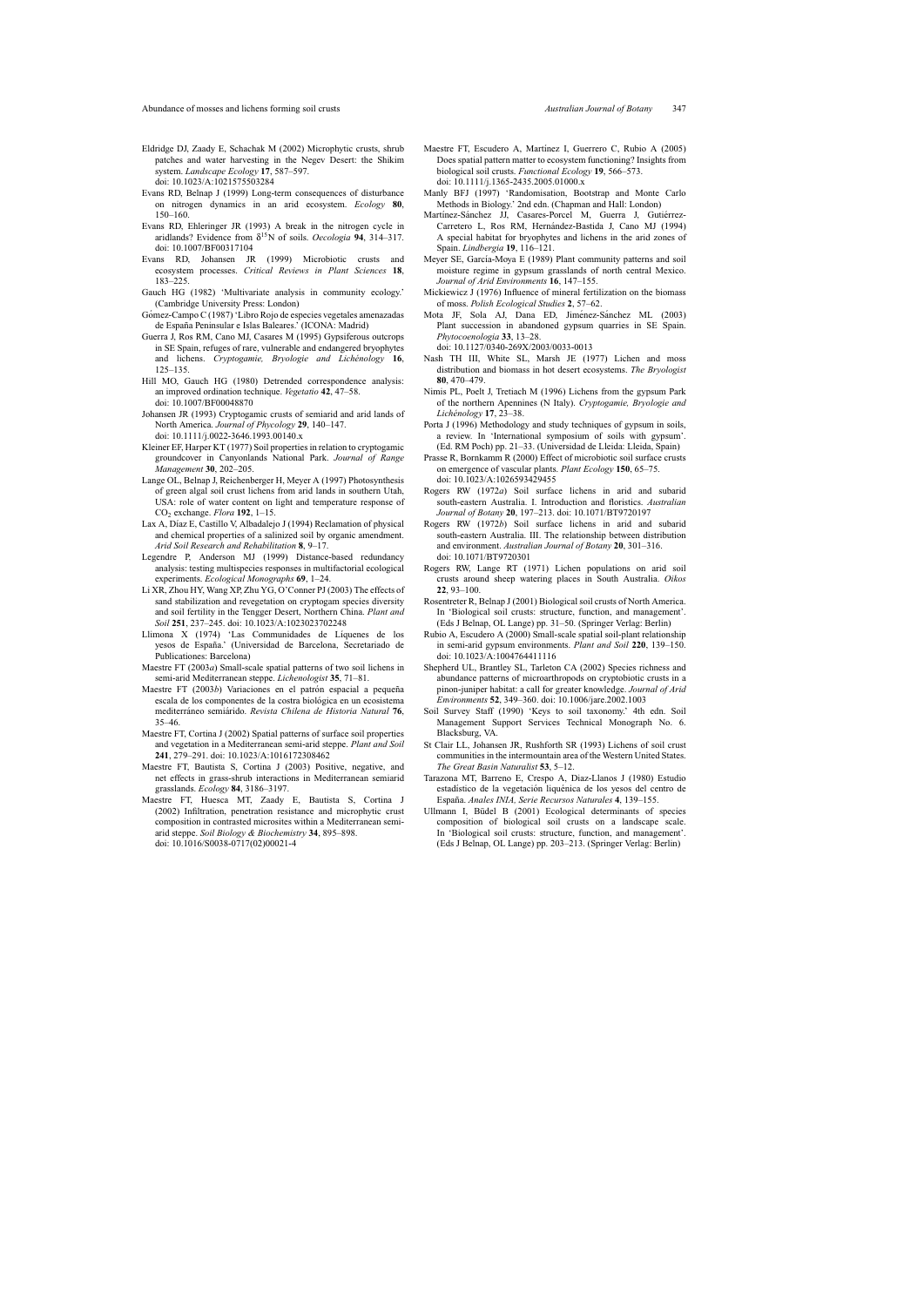- <span id="page-8-0"></span>Eldridge DJ, Zaady E, Schachak M (2002) Microphytic crusts, shrub patches and water harvesting in the Negev Desert: the Shikim system. *Landscape Ecology* **17**, 587–597. doi: 10.1023/A:1021575503284
- Evans RD, Belnap J (1999) Long-term consequences of disturbance on nitrogen dynamics in an arid ecosystem. *Ecology* **80**, 150–160.
- Evans RD, Ehleringer JR (1993) A break in the nitrogen cycle in aridlands? Evidence from δ15N of soils. *Oecologia* **94**, 314–317. doi: 10.1007/BF00317104
- Evans RD, Johansen JR (1999) Microbiotic crusts and ecosystem processes. *Critical Reviews in Plant Sciences* **18**, 183–225.
- Gauch HG (1982) 'Multivariate analysis in community ecology.' (Cambridge University Press: London)
- Gómez-Campo C (1987) 'Libro Rojo de especies vegetales amenazadas de España Peninsular e Islas Baleares.' (ICONA: Madrid)
- Guerra J, Ros RM, Cano MJ, Casares M (1995) Gypsiferous outcrops in SE Spain, refuges of rare, vulnerable and endangered bryophytes and lichens. *Cryptogamie*, *Bryologie and Lichénology* 16, 125–135.
- Hill MO, Gauch HG (1980) Detrended correspondence analysis: an improved ordination technique. *Vegetatio* **42**, 47–58. doi: 10.1007/BF00048870
- Johansen JR (1993) Cryptogamic crusts of semiarid and arid lands of North America. *Journal of Phycology* **29**, 140–147. doi: 10.1111/j.0022-3646.1993.00140.x
- Kleiner EF, Harper KT (1977) Soil properties in relation to cryptogamic groundcover in Canyonlands National Park. *Journal of Range Management* **30**, 202–205.
- Lange OL, Belnap J, Reichenberger H, Meyer A (1997) Photosynthesis of green algal soil crust lichens from arid lands in southern Utah, USA: role of water content on light and temperature response of CO2 exchange. *Flora* **192**, 1–15.
- Lax A, Díaz E, Castillo V, Albadalejo J (1994) Reclamation of physical and chemical properties of a salinized soil by organic amendment. *Arid Soil Research and Rehabilitation* **8**, 9–17.
- Legendre P, Anderson MJ (1999) Distance-based redundancy analysis: testing multispecies responses in multifactorial ecological experiments. *Ecological Monographs* **69**, 1–24.
- Li XR, Zhou HY, Wang XP, Zhu YG, O'Conner PJ (2003) The effects of sand stabilization and revegetation on cryptogam species diversity and soil fertility in the Tengger Desert, Northern China. *Plant and Soil* **251**, 237–245. doi: 10.1023/A:1023023702248
- Llimona X (1974) 'Las Communidades de Líquenes de los yesos de España.' (Universidad de Barcelona, Secretariado de Publicationes: Barcelona)
- Maestre FT (2003*a*) Small-scale spatial patterns of two soil lichens in semi-arid Mediterranean steppe. *Lichenologist* **35**, 71–81.
- Maestre FT (2003*b*) Variaciones en el patrón espacial a pequeña escala de los componentes de la costra biologica en un ecosistema ´ mediterráneo semiárido. Revista Chilena de Historia Natural 76, 35–46.
- Maestre FT, Cortina J (2002) Spatial patterns of surface soil properties and vegetation in a Mediterranean semi-arid steppe. *Plant and Soil* **241**, 279–291. doi: 10.1023/A:1016172308462
- Maestre FT, Bautista S, Cortina J (2003) Positive, negative, and net effects in grass-shrub interactions in Mediterranean semiarid grasslands. *Ecology* **84**, 3186–3197.
- Maestre FT, Huesca MT, Zaady E, Bautista S, Cortina J (2002) Infiltration, penetration resistance and microphytic crust composition in contrasted microsites within a Mediterranean semiarid steppe. *Soil Biology & Biochemistry* **34**, 895–898. doi: 10.1016/S0038-0717(02)00021-4
- Maestre FT, Escudero A, Martínez I, Guerrero C, Rubio A (2005) Does spatial pattern matter to ecosystem functioning? Insights from biological soil crusts. *Functional Ecology* **19**, 566–573. doi: 10.1111/j.1365-2435.2005.01000.x
- Manly BFJ (1997) 'Randomisation, Bootstrap and Monte Carlo Methods in Biology.' 2nd edn. (Chapman and Hall: London)
- Martínez-Sánchez JJ, Casares-Porcel M, Guerra J, Gutiérrez-Carretero L, Ros RM, Hernández-Bastida J, Cano MJ (1994) A special habitat for bryophytes and lichens in the arid zones of Spain. *Lindbergia* **19**, 116–121.
- Meyer SE, García-Moya E (1989) Plant community patterns and soil moisture regime in gypsum grasslands of north central Mexico. *Journal of Arid Environments* **16**, 147–155.
- Mickiewicz J (1976) Influence of mineral fertilization on the biomass of moss. *Polish Ecological Studies* **2**, 57–62.
- Mota JF, Sola AJ, Dana ED, Jiménez-Sánchez ML (2003) Plant succession in abandoned gypsum quarries in SE Spain. *Phytocoenologia* **33**, 13–28.

doi: 10.1127/0340-269X/2003/0033-0013

- Nash TH III, White SL, Marsh JE (1977) Lichen and moss distribution and biomass in hot desert ecosystems. *The Bryologist* **80**, 470–479.
- Nimis PL, Poelt J, Tretiach M (1996) Lichens from the gypsum Park of the northern Apennines (N Italy). *Cryptogamie, Bryologie and Lichenology ´* **17**, 23–38.
- Porta J (1996) Methodology and study techniques of gypsum in soils, a review. In 'International symposium of soils with gypsum'. (Ed. RM Poch) pp. 21–33. (Universidad de Lleida: Lleida, Spain)
- Prasse R, Bornkamm R (2000) Effect of microbiotic soil surface crusts on emergence of vascular plants. *Plant Ecology* **150**, 65–75. doi: 10.1023/A:1026593429455
- Rogers RW (1972*a*) Soil surface lichens in arid and subarid south-eastern Australia. I. Introduction and floristics. *Australian Journal of Botany* **20**, 197–213. doi: 10.1071/BT9720197
- Rogers RW (1972*b*) Soil surface lichens in arid and subarid south-eastern Australia. III. The relationship between distribution and environment. *Australian Journal of Botany* **20**, 301–316. doi: 10.1071/BT9720301
- Rogers RW, Lange RT (1971) Lichen populations on arid soil crusts around sheep watering places in South Australia. *Oikos* **22**, 93–100.
- Rosentreter R, Belnap J (2001) Biological soil crusts of North America. In 'Biological soil crusts: structure, function, and management'. (Eds J Belnap, OL Lange) pp. 31–50. (Springer Verlag: Berlin)
- Rubio A, Escudero A (2000) Small-scale spatial soil-plant relationship in semi-arid gypsum environments. *Plant and Soil* **220**, 139–150. doi: 10.1023/A:1004764411116
- Shepherd UL, Brantley SL, Tarleton CA (2002) Species richness and abundance patterns of microarthropods on cryptobiotic crusts in a pinon-juniper habitat: a call for greater knowledge. *Journal of Arid Environments* **52**, 349–360. doi: 10.1006/jare.2002.1003
- Soil Survey Staff (1990) 'Keys to soil taxonomy.' 4th edn. Soil Management Support Services Technical Monograph No. 6. Blacksburg, VA.
- St Clair LL, Johansen JR, Rushforth SR (1993) Lichens of soil crust communities in the intermountain area of the Western United States. *The Great Basin Naturalist* **53**, 5–12.
- Tarazona MT, Barreno E, Crespo A, Diaz-Llanos J (1980) Estudio estadístico de la vegetación liquénica de los yesos del centro de Espana. ˜ *Anales INIA, Serie Recursos Naturales* **4**, 139–155.
- Ullmann I, Büdel B (2001) Ecological determinants of species composition of biological soil crusts on a landscape scale. In 'Biological soil crusts: structure, function, and management'. (Eds J Belnap, OL Lange) pp. 203–213. (Springer Verlag: Berlin)